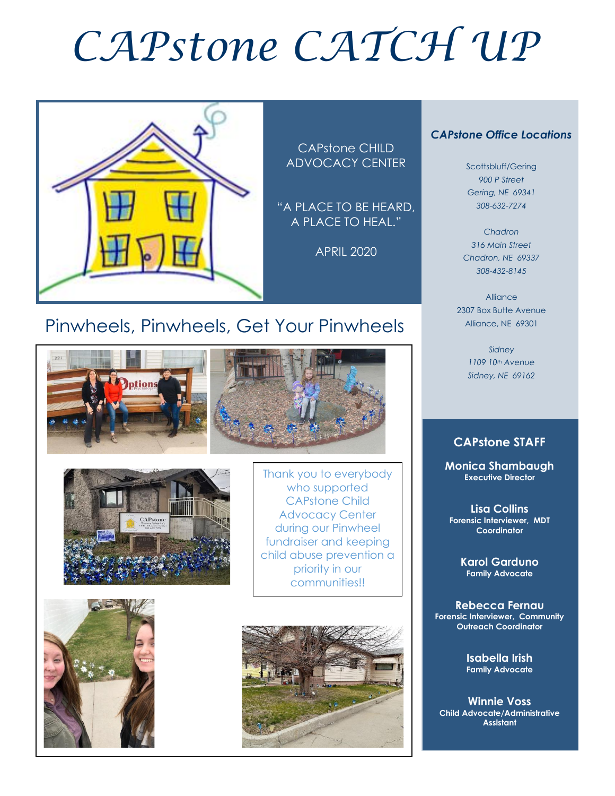# *CAPstone CATCH UP*



CAPstone CHILD ADVOCACY CENTER

"A PLACE TO BE HEARD, A PLACE TO HEAL."

APRIL 2020

#### *CAPstone Office Locations*

Scottsbluff/Gering *900 P Street Gering, NE 69341 308-632-7274*

*Chadron 316 Main Street Chadron, NE 69337 308-432-8145*

Alliance 2307 Box Butte Avenue Alliance, NE 69301

> *Sidney 1109 10th Avenue Sidney, NE 69162*

#### **CAPstone STAFF**

**Monica Shambaugh Executive Director**

**Lisa Collins Forensic Interviewer, MDT Coordinator**

> **Karol Garduno Family Advocate**

**Rebecca Fernau Forensic Interviewer, Community Outreach Coordinator**

> **Isabella Irish Family Advocate**

**Winnie Voss Child Advocate/Administrative Assistant**

## Pinwheels, Pinwheels, Get Your Pinwheels





Thank you to everybody who supported CAPstone Child Advocacy Center during our Pinwheel fundraiser and keeping child abuse prevention a priority in our communities!!



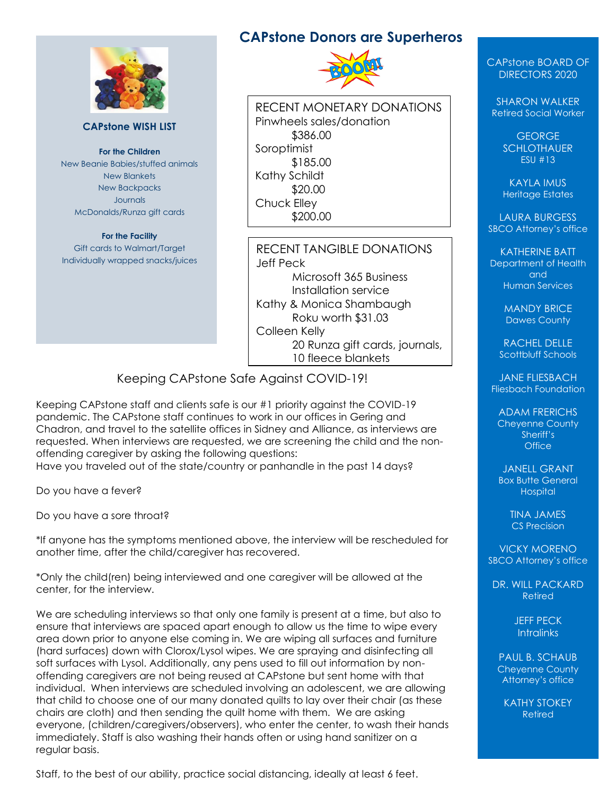

#### **CAPstone WISH LIST**

**For the Children** New Beanie Babies/stuffed animals New Blankets New Backpacks Journals McDonalds/Runza gift cards

**For the Facility** Gift cards to Walmart/Target Individually wrapped snacks/juices

#### **CAPstone Donors are Superheros**



RECENT MONETARY DONATIONS Pinwheels sales/donation \$386.00 Soroptimist \$185.00 Kathy Schildt \$20.00 Chuck Elley \$200.00

RECENT TANGIBLE DONATIONS Jeff Peck Microsoft 365 Business Installation service Kathy & Monica Shambaugh Roku worth \$31.03 Colleen Kelly 20 Runza gift cards, journals, 10 fleece blankets

Keeping CAPstone Safe Against COVID-19!

Keeping CAPstone staff and clients safe is our #1 priority against the COVID-19 pandemic. The CAPstone staff continues to work in our offices in Gering and Chadron, and travel to the satellite offices in Sidney and Alliance, as interviews are requested. When interviews are requested, we are screening the child and the nonoffending caregiver by asking the following questions:

Have you traveled out of the state/country or panhandle in the past 14 days?

Do you have a fever?

Do you have a sore throat?

\*If anyone has the symptoms mentioned above, the interview will be rescheduled for another time, after the child/caregiver has recovered.

\*Only the child(ren) being interviewed and one caregiver will be allowed at the center, for the interview.

We are scheduling interviews so that only one family is present at a time, but also to ensure that interviews are spaced apart enough to allow us the time to wipe every area down prior to anyone else coming in. We are wiping all surfaces and furniture (hard surfaces) down with Clorox/Lysol wipes. We are spraying and disinfecting all soft surfaces with Lysol. Additionally, any pens used to fill out information by nonoffending caregivers are not being reused at CAPstone but sent home with that individual. When interviews are scheduled involving an adolescent, we are allowing that child to choose one of our many donated quilts to lay over their chair (as these chairs are cloth) and then sending the quilt home with them. We are asking everyone, (children/caregivers/observers), who enter the center, to wash their hands immediately. Staff is also washing their hands often or using hand sanitizer on a regular basis.

Staff, to the best of our ability, practice social distancing, ideally at least 6 feet.

#### CAPstone BOARD OF DIRECTORS 2020

SHARON WALKER Retired Social Worker

> GEORGE **SCHLOTHAUER** ESU #13

KAYLA IMUS Heritage Estates

LAURA BURGESS SBCO Attorney's office

KATHERINE BATT Department of Health and Human Services

> MANDY BRICE Dawes County

RACHEL DELLE Scottbluff Schools

JANE FLIESBACH Fliesbach Foundation

ADAM FRERICHS Cheyenne County Sheriff's **Office** 

JANELL GRANT Box Butte General **Hospital** 

> TINA JAMES CS Precision

VICKY MORENO SBCO Attorney's office

DR. WILL PACKARD Retired

> JEFF PECK **Intralinks**

PAUL B. SCHAUB Cheyenne County Attorney's office

KATHY STOKEY Retired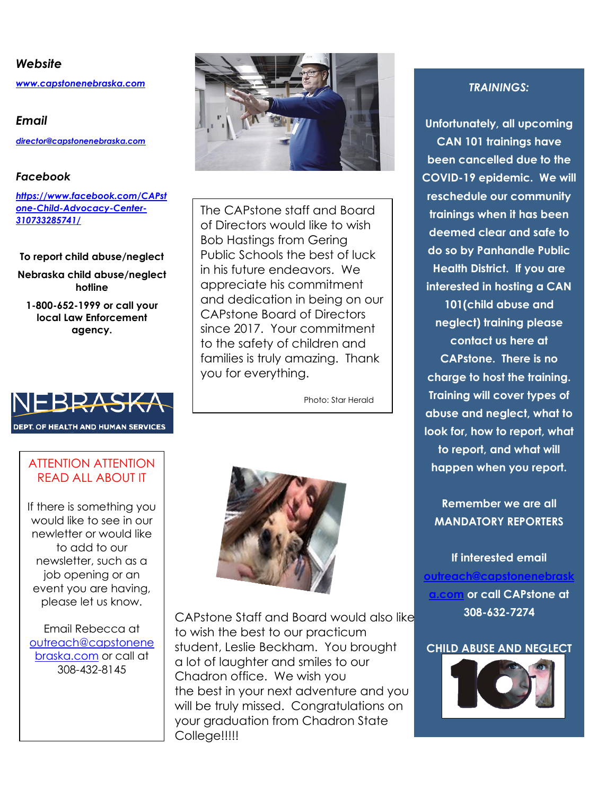#### *Website*

*[www.capstonenebraska.com](http://www.capstonenebraska.com/)*

*Email [director@capstonenebraska.com](mailto:director@capstonenebraska.com)*

#### *Facebook*

*[https://www.facebook.com/CAPst](https://www.facebook.com/CAPstone-Child-Advocacy-Center-310733285741/) [one-Child-Advocacy-Center-](https://www.facebook.com/CAPstone-Child-Advocacy-Center-310733285741/)[310733285741/](https://www.facebook.com/CAPstone-Child-Advocacy-Center-310733285741/)*

#### **To report child abuse/neglect**

**Nebraska child abuse/neglect hotline**

**1-800-652-1999 or call your local Law Enforcement agency.**



#### ATTENTION ATTENTION READ ALL ABOUT IT

If there is something you would like to see in our newletter or would like to add to our newsletter, such as a job opening or an event you are having, please let us know.

Email Rebecca at [outreach@capstonene](mailto:outreach@capstonenebraska.com) [braska.com](mailto:outreach@capstonenebraska.com) or call at 308-432-8145



The CAPstone staff and Board of Directors would like to wish Bob Hastings from Gering Public Schools the best of luck in his future endeavors. We appreciate his commitment and dedication in being on our CAPstone Board of Directors since 2017. Your commitment to the safety of children and families is truly amazing. Thank you for everything.

Photo: Star Herald



CAPstone Staff and Board would also like to wish the best to our practicum student, Leslie Beckham. You brought a lot of laughter and smiles to our Chadron office. We wish you the best in your next adventure and you will be truly missed. Congratulations on your graduation from Chadron State College!!!!!

#### *TRAININGS:*

**Unfortunately, all upcoming CAN 101 trainings have been cancelled due to the COVID-19 epidemic. We will reschedule our community trainings when it has been deemed clear and safe to do so by Panhandle Public Health District. If you are interested in hosting a CAN 101(child abuse and neglect) training please contact us here at CAPstone. There is no charge to host the training. Training will cover types of abuse and neglect, what to look for, how to report, what to report, and what will happen when you report.** 

**Remember we are all MANDATORY REPORTERS**

**If interested email [outreach@capstonenebrask](mailto:outreach@capstonenebraska.com) [a.com](mailto:outreach@capstonenebraska.com) or call CAPstone at 308-632-7274**

#### **CHILD ABUSE AND NEGLECT**

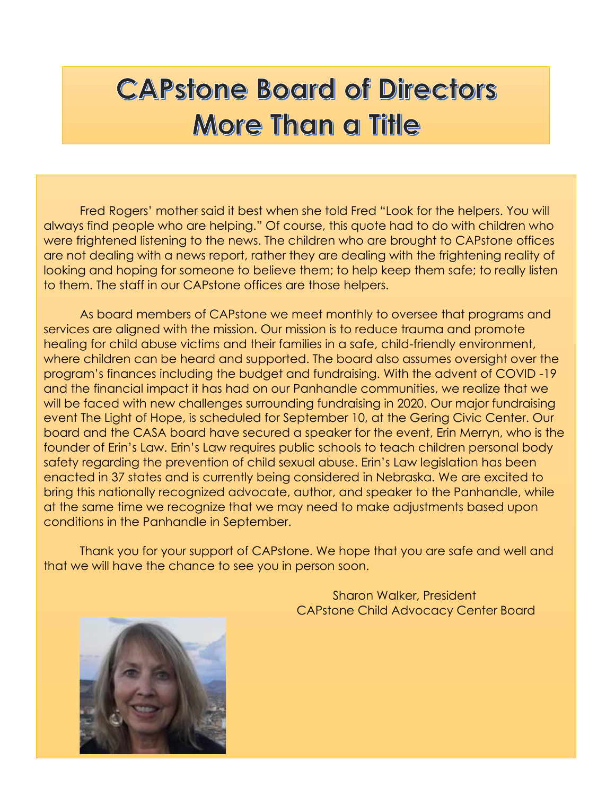# **CAPstone Board of Directors More Than a Title**

Fred Rogers' mother said it best when she told Fred "Look for the helpers. You will always find people who are helping." Of course, this quote had to do with children who were frightened listening to the news. The children who are brought to CAPstone offices are not dealing with a news report, rather they are dealing with the frightening reality of looking and hoping for someone to believe them; to help keep them safe; to really listen to them. The staff in our CAPstone offices are those helpers.

As board members of CAPstone we meet monthly to oversee that programs and services are aligned with the mission. Our mission is to reduce trauma and promote healing for child abuse victims and their families in a safe, child-friendly environment, where children can be heard and supported. The board also assumes oversight over the program's finances including the budget and fundraising. With the advent of COVID -19 and the financial impact it has had on our Panhandle communities, we realize that we will be faced with new challenges surrounding fundraising in 2020. Our major fundraising event The Light of Hope, is scheduled for September 10, at the Gering Civic Center. Our board and the CASA board have secured a speaker for the event, Erin Merryn, who is the founder of Erin's Law. Erin's Law requires public schools to teach children personal body safety regarding the prevention of child sexual abuse. Erin's Law legislation has been enacted in 37 states and is currently being considered in Nebraska. We are excited to bring this nationally recognized advocate, author, and speaker to the Panhandle, while at the same time we recognize that we may need to make adjustments based upon conditions in the Panhandle in September.

Thank you for your support of CAPstone. We hope that you are safe and well and that we will have the chance to see you in person soon.



Sharon Walker, President CAPstone Child Advocacy Center Board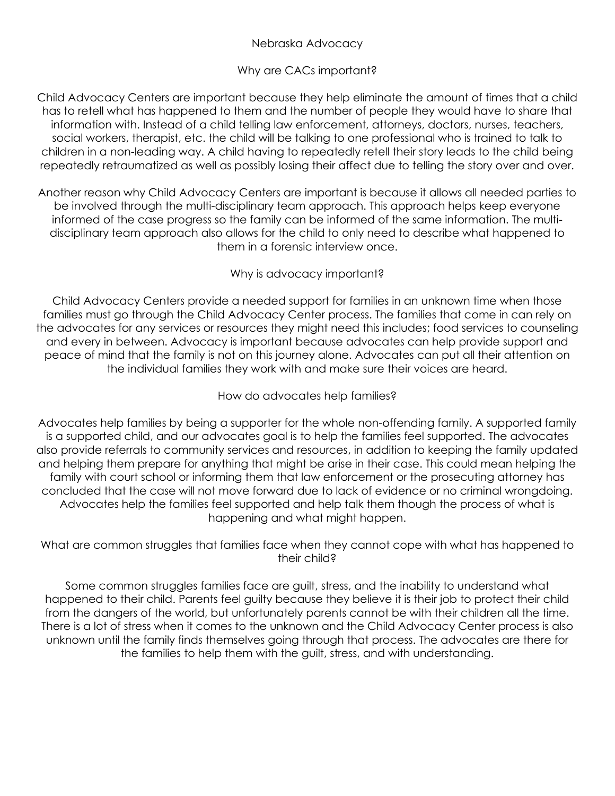#### Nebraska Advocacy

#### Why are CACs important?

Child Advocacy Centers are important because they help eliminate the amount of times that a child has to retell what has happened to them and the number of people they would have to share that information with. Instead of a child telling law enforcement, attorneys, doctors, nurses, teachers, social workers, therapist, etc. the child will be talking to one professional who is trained to talk to children in a non-leading way. A child having to repeatedly retell their story leads to the child being repeatedly retraumatized as well as possibly losing their affect due to telling the story over and over.

Another reason why Child Advocacy Centers are important is because it allows all needed parties to be involved through the multi-disciplinary team approach. This approach helps keep everyone informed of the case progress so the family can be informed of the same information. The multidisciplinary team approach also allows for the child to only need to describe what happened to them in a forensic interview once.

#### Why is advocacy important?

Child Advocacy Centers provide a needed support for families in an unknown time when those families must go through the Child Advocacy Center process. The families that come in can rely on the advocates for any services or resources they might need this includes; food services to counseling and every in between. Advocacy is important because advocates can help provide support and peace of mind that the family is not on this journey alone. Advocates can put all their attention on the individual families they work with and make sure their voices are heard.

#### How do advocates help families?

Advocates help families by being a supporter for the whole non-offending family. A supported family is a supported child, and our advocates goal is to help the families feel supported. The advocates also provide referrals to community services and resources, in addition to keeping the family updated and helping them prepare for anything that might be arise in their case. This could mean helping the family with court school or informing them that law enforcement or the prosecuting attorney has concluded that the case will not move forward due to lack of evidence or no criminal wrongdoing. Advocates help the families feel supported and help talk them though the process of what is happening and what might happen.

#### What are common struggles that families face when they cannot cope with what has happened to their child?

Some common struggles families face are guilt, stress, and the inability to understand what happened to their child. Parents feel guilty because they believe it is their job to protect their child from the dangers of the world, but unfortunately parents cannot be with their children all the time. There is a lot of stress when it comes to the unknown and the Child Advocacy Center process is also unknown until the family finds themselves going through that process. The advocates are there for the families to help them with the guilt, stress, and with understanding.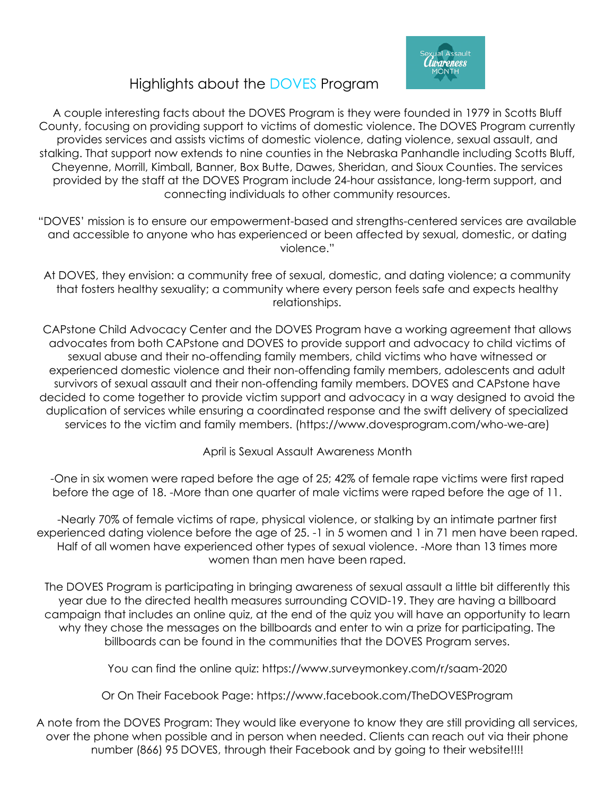

### Highlights about the DOVES Program

A couple interesting facts about the DOVES Program is they were founded in 1979 in Scotts Bluff County, focusing on providing support to victims of domestic violence. The DOVES Program currently provides services and assists victims of domestic violence, dating violence, sexual assault, and stalking. That support now extends to nine counties in the Nebraska Panhandle including Scotts Bluff, Cheyenne, Morrill, Kimball, Banner, Box Butte, Dawes, Sheridan, and Sioux Counties. The services provided by the staff at the DOVES Program include 24-hour assistance, long-term support, and connecting individuals to other community resources.

- "DOVES' mission is to ensure our empowerment-based and strengths-centered services are available and accessible to anyone who has experienced or been affected by sexual, domestic, or dating violence."
- At DOVES, they envision: a community free of sexual, domestic, and dating violence; a community that fosters healthy sexuality; a community where every person feels safe and expects healthy relationships.

CAPstone Child Advocacy Center and the DOVES Program have a working agreement that allows advocates from both CAPstone and DOVES to provide support and advocacy to child victims of sexual abuse and their no-offending family members, child victims who have witnessed or experienced domestic violence and their non-offending family members, adolescents and adult survivors of sexual assault and their non-offending family members. DOVES and CAPstone have decided to come together to provide victim support and advocacy in a way designed to avoid the duplication of services while ensuring a coordinated response and the swift delivery of specialized services to the victim and family members. (https://www.dovesprogram.com/who-we-are)

April is Sexual Assault Awareness Month

-One in six women were raped before the age of 25; 42% of female rape victims were first raped before the age of 18. -More than one quarter of male victims were raped before the age of 11.

-Nearly 70% of female victims of rape, physical violence, or stalking by an intimate partner first experienced dating violence before the age of 25. -1 in 5 women and 1 in 71 men have been raped. Half of all women have experienced other types of sexual violence. -More than 13 times more women than men have been raped.

The DOVES Program is participating in bringing awareness of sexual assault a little bit differently this year due to the directed health measures surrounding COVID-19. They are having a billboard campaign that includes an online quiz, at the end of the quiz you will have an opportunity to learn why they chose the messages on the billboards and enter to win a prize for participating. The billboards can be found in the communities that the DOVES Program serves.

You can find the online quiz: https://www.surveymonkey.com/r/saam-2020

Or On Their Facebook Page: https://www.facebook.com/TheDOVESProgram

A note from the DOVES Program: They would like everyone to know they are still providing all services, over the phone when possible and in person when needed. Clients can reach out via their phone number (866) 95 DOVES, through their Facebook and by going to their website!!!!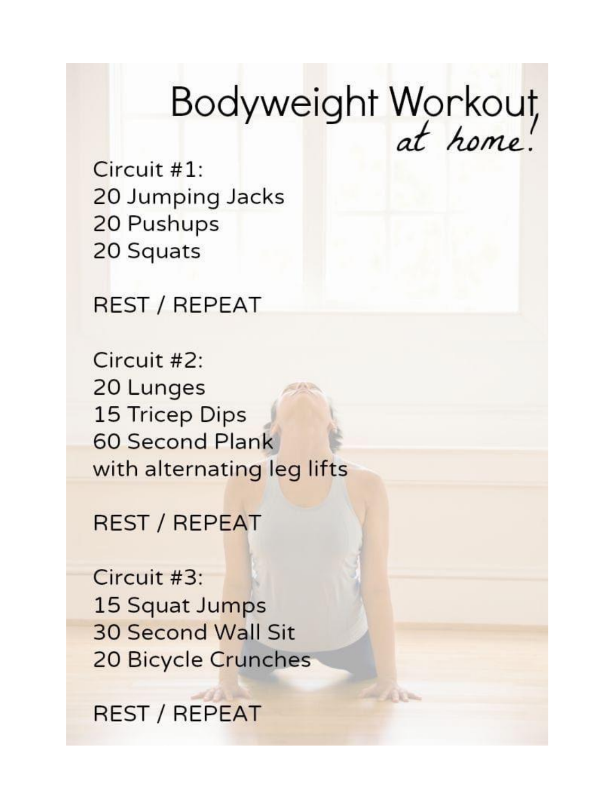# Bodyweight Workout,

Circuit  $#1$ : 20 Jumping Jacks 20 Pushups 20 Squats

**REST / REPEAT** 

Circuit #2: 20 Lunges 15 Tricep Dips **60 Second Plank** with alternating leg lifts

**REST / REPEAT** 

Circuit #3: 15 Squat Jumps **30 Second Wall Sit** 20 Bicycle Crunches

**REST / REPEAT**